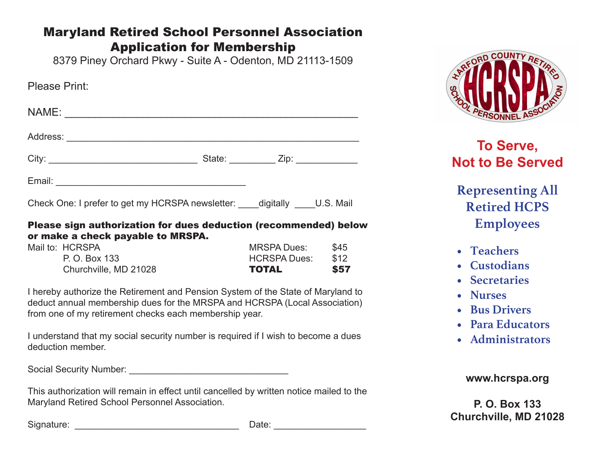### Maryland Retired School Personnel Association Application for Membership

8379 Piney Orchard Pkwy - Suite A - Odenton, MD 21113-1509

| Please Print:                                                        |                                          |  |
|----------------------------------------------------------------------|------------------------------------------|--|
|                                                                      |                                          |  |
|                                                                      |                                          |  |
|                                                                      | State: _____________ Zip: ______________ |  |
|                                                                      |                                          |  |
| Check One: I prefer to get my HCRSPA newsletter: digitally U.S. Mail |                                          |  |

#### Please sign authorization for dues deduction (recommended) below or make a check payable to MRSPA.

| Churchville, MD 21028 | <b>TOTAL</b>        | \$57        |
|-----------------------|---------------------|-------------|
| P. O. Box 133         | <b>HCRSPA Dues:</b> | \$12        |
| Mail to: HCRSPA       | <b>MRSPA Dues:</b>  | <b>\$45</b> |

I hereby authorize the Retirement and Pension System of the State of Maryland to deduct annual membership dues for the MRSPA and HCRSPA (Local Association) from one of my retirement checks each membership year.

I understand that my social security number is required if I wish to become a dues deduction member.

Social Security Number: \_\_\_\_\_\_\_\_\_\_\_\_\_\_\_\_\_\_\_\_\_\_\_\_\_\_\_\_\_\_\_

This authorization will remain in effect until cancelled by written notice mailed to the Maryland Retired School Personnel Association.

Signature: \_\_\_\_\_\_\_\_\_\_\_\_\_\_\_\_\_\_\_\_\_\_\_\_\_\_\_\_\_\_\_\_ Date: \_\_\_\_\_\_\_\_\_\_\_\_\_\_\_\_\_\_



### **To Serve, Not to Be Served**

### **Representing All Retired HCPS Employees**

- **• Teachers**
- **• Custodians**
- **• Secretaries**
- **• Nurses**
- **• Bus Drivers**
- **• Para Educators**
- **• Administrators**

#### **www.hcrspa.org**

**P. O. Box 133 Churchville, MD 21028**